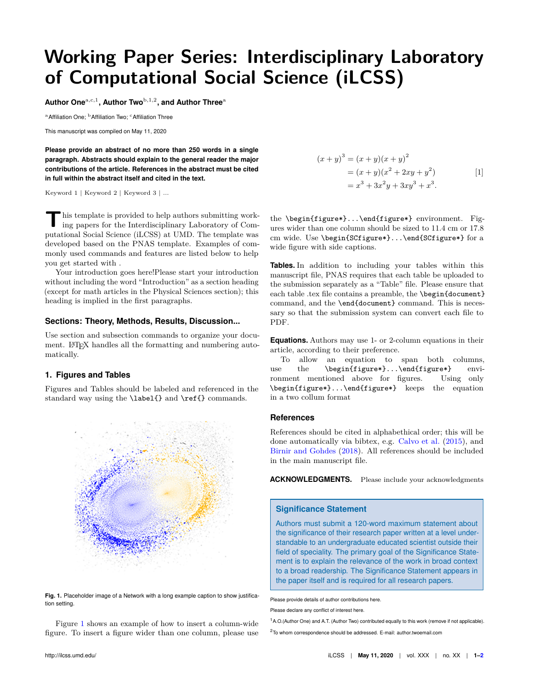# **Working Paper Series: Interdisciplinary Laboratory of Computational Social Science (iLCSS)**

**Author One**a,c,1 **, Author Two**b,1,2**, and Author Three**<sup>a</sup>

<sup>a</sup> Affiliation One: <sup>b</sup> Affiliation Two: <sup>c</sup> Affiliation Three

This manuscript was compiled on May 11, 2020

**Please provide an abstract of no more than 250 words in a single paragraph. Abstracts should explain to the general reader the major contributions of the article. References in the abstract must be cited in full within the abstract itself and cited in the text.**

Keyword 1 | Keyword 2 | Keyword 3 | ...

**T** his template is provided to help authors submitting working papers for the Interdisciplinary Laboratory of Computational Social Science (iLCSS) at UMD. The template was developed based on the PNAS template. Examples of commonly used commands and features are listed below to help you get started with .

Your introduction goes here!Please start your introduction without including the word "Introduction" as a section heading (except for math articles in the Physical Sciences section); this heading is implied in the first paragraphs.

### **Sections: Theory, Methods, Results, Discussion...**

Use section and subsection commands to organize your document. LATEX handles all the formatting and numbering automatically.

#### **1. Figures and Tables**

Figures and Tables should be labeled and referenced in the standard way using the **\label{}** and **\ref{}** commands.

<span id="page-0-0"></span>

**Fig. 1.** Placeholder image of a Network with a long example caption to show justification setting.

Figure [1](#page-0-0) shows an example of how to insert a column-wide figure. To insert a figure wider than one column, please use

$$
(x + y)3 = (x + y)(x + y)2
$$
  
= (x + y)(x<sup>2</sup> + 2xy + y<sup>2</sup>)  
= x<sup>3</sup> + 3x<sup>2</sup>y + 3xy<sup>3</sup> + x<sup>3</sup>. [1]

the \begin{figure\*}...\end{figure\*} environment. Figures wider than one column should be sized to 11.4 cm or 17.8 cm wide. Use \begin{SCfigure\*}...\end{SCfigure\*} for a wide figure with side captions.

**Tables.** In addition to including your tables within this manuscript file, PNAS requires that each table be uploaded to the submission separately as a "Table" file. Please ensure that each table .tex file contains a preamble, the **\begin{document}** command, and the \end{document} command. This is necessary so that the submission system can convert each file to PDF.

**Equations.** Authors may use 1- or 2-column equations in their article, according to their preference.

To allow an equation to span both columns, use the \begin{figure\*}...\end{figure\*} environment mentioned above for figures. Using only \begin{figure\*}...\end{figure\*} keeps the equation in a two collum format

#### **References**

References should be cited in alphabethical order; this will be done automatically via bibtex, e.g. [Calvo et al.](#page-1-0) [\(2015\)](#page-1-0), and [Birnir and Gohdes](#page-1-1) [\(2018\)](#page-1-1). All references should be included in the main manuscript file.

**ACKNOWLEDGMENTS.** Please include your acknowledgments

#### **Significance Statement**

Authors must submit a 120-word maximum statement about the significance of their research paper written at a level understandable to an undergraduate educated scientist outside their field of speciality. The primary goal of the Significance Statement is to explain the relevance of the work in broad context to a broad readership. The Significance Statement appears in the paper itself and is required for all research papers.

Please provide details of author contributions here. Please declare any conflict of interest here.

<sup>1</sup>A.O.(Author One) and A.T. (Author Two) contributed equally to this work (remove if not applicable).

<sup>2</sup>To whom correspondence should be addressed. E-mail: author.twoemail.com